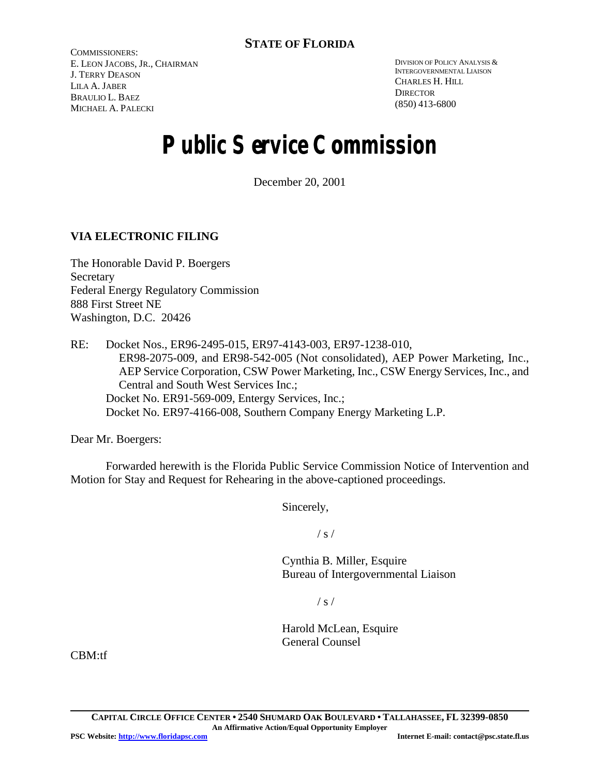COMMISSIONERS: E. LEON JACOBS, JR., CHAIRMAN J. TERRY DEASON LILA A. JABER BRAULIO L. BAEZ MICHAEL A. PALECKI

DIVISION OF POLICY ANALYSIS & INTERGOVERNMENTAL LIAISON CHARLES H. HILL **DIRECTOR** (850) 413-6800

# **Public Service Commission**

December 20, 2001

# **VIA ELECTRONIC FILING**

The Honorable David P. Boergers **Secretary** Federal Energy Regulatory Commission 888 First Street NE Washington, D.C. 20426

RE: Docket Nos., ER96-2495-015, ER97-4143-003, ER97-1238-010, ER98-2075-009, and ER98-542-005 (Not consolidated), AEP Power Marketing, Inc., AEP Service Corporation, CSW Power Marketing, Inc., CSW Energy Services, Inc., and Central and South West Services Inc.; Docket No. ER91-569-009, Entergy Services, Inc.; Docket No. ER97-4166-008, Southern Company Energy Marketing L.P.

Dear Mr. Boergers:

Forwarded herewith is the Florida Public Service Commission Notice of Intervention and Motion for Stay and Request for Rehearing in the above-captioned proceedings.

Sincerely,

 $/ s /$ 

Cynthia B. Miller, Esquire Bureau of Intergovernmental Liaison

 $/ s /$ 

Harold McLean, Esquire General Counsel

CBM:tf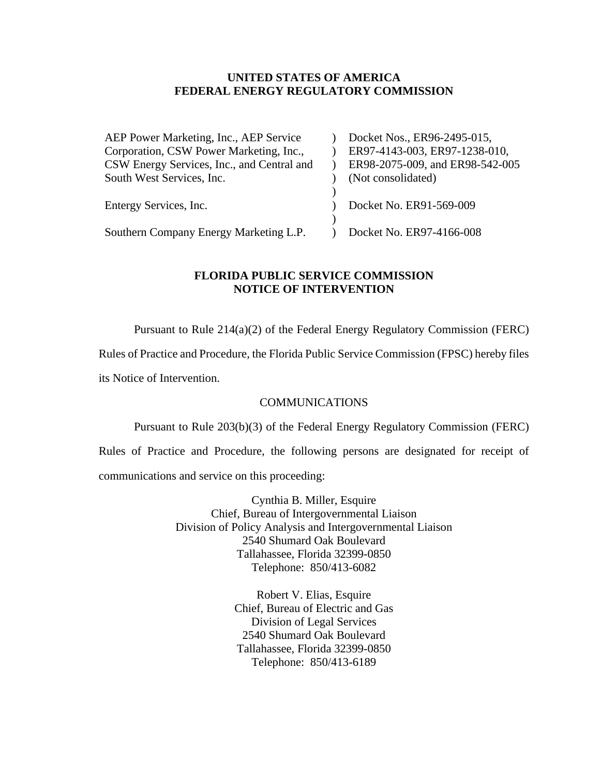#### **UNITED STATES OF AMERICA FEDERAL ENERGY REGULATORY COMMISSION**

| Docket Nos., ER96-2495-015,     |
|---------------------------------|
| ER97-4143-003, ER97-1238-010,   |
| ER98-2075-009, and ER98-542-005 |
| (Not consolidated)              |
|                                 |
| Docket No. ER91-569-009         |
|                                 |
| Docket No. ER97-4166-008        |
|                                 |

### **FLORIDA PUBLIC SERVICE COMMISSION NOTICE OF INTERVENTION**

Pursuant to Rule 214(a)(2) of the Federal Energy Regulatory Commission (FERC)

Rules of Practice and Procedure, the Florida Public Service Commission (FPSC) hereby files

its Notice of Intervention.

#### **COMMUNICATIONS**

Pursuant to Rule 203(b)(3) of the Federal Energy Regulatory Commission (FERC)

Rules of Practice and Procedure, the following persons are designated for receipt of communications and service on this proceeding:

> Cynthia B. Miller, Esquire Chief, Bureau of Intergovernmental Liaison Division of Policy Analysis and Intergovernmental Liaison 2540 Shumard Oak Boulevard Tallahassee, Florida 32399-0850 Telephone: 850/413-6082

> > Robert V. Elias, Esquire Chief, Bureau of Electric and Gas Division of Legal Services 2540 Shumard Oak Boulevard Tallahassee, Florida 32399-0850 Telephone: 850/413-6189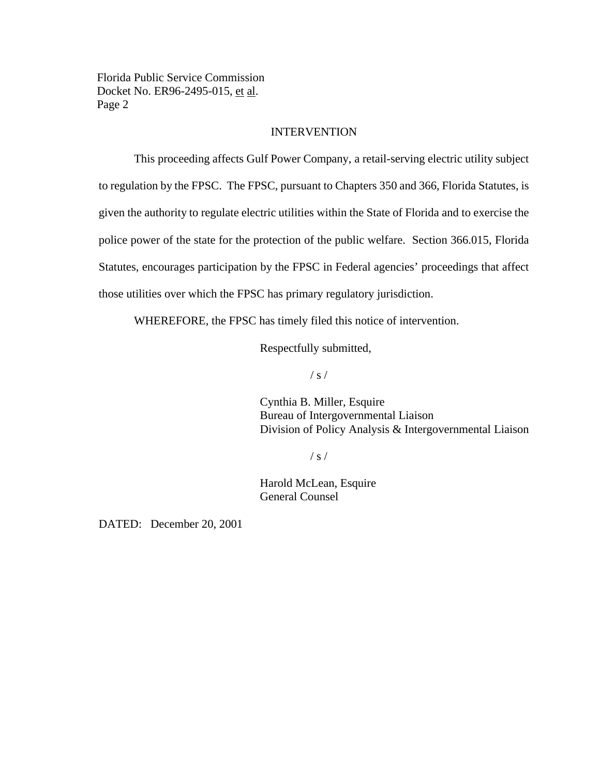#### **INTERVENTION**

This proceeding affects Gulf Power Company, a retail-serving electric utility subject to regulation by the FPSC. The FPSC, pursuant to Chapters 350 and 366, Florida Statutes, is given the authority to regulate electric utilities within the State of Florida and to exercise the police power of the state for the protection of the public welfare. Section 366.015, Florida Statutes, encourages participation by the FPSC in Federal agencies' proceedings that affect those utilities over which the FPSC has primary regulatory jurisdiction.

WHEREFORE, the FPSC has timely filed this notice of intervention.

Respectfully submitted,

 $/ s /$ 

Cynthia B. Miller, Esquire Bureau of Intergovernmental Liaison Division of Policy Analysis & Intergovernmental Liaison

 $/ s /$ 

Harold McLean, Esquire General Counsel

DATED: December 20, 2001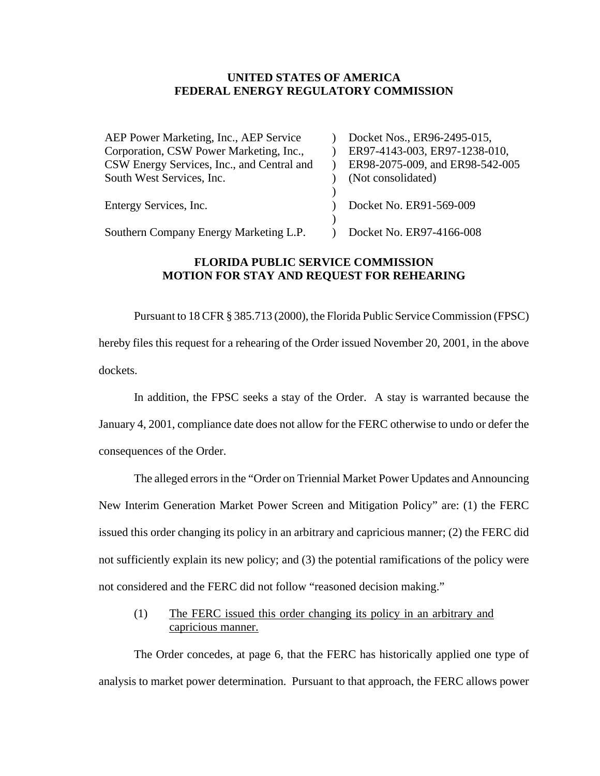#### **UNITED STATES OF AMERICA FEDERAL ENERGY REGULATORY COMMISSION**

| AEP Power Marketing, Inc., AEP Service     | Docket Nos., ER96-2495-015,     |
|--------------------------------------------|---------------------------------|
| Corporation, CSW Power Marketing, Inc.,    | ER97-4143-003, ER97-1238-010,   |
| CSW Energy Services, Inc., and Central and | ER98-2075-009, and ER98-542-005 |
| South West Services, Inc.                  | (Not consolidated)              |
|                                            |                                 |
| Entergy Services, Inc.                     | Docket No. ER91-569-009         |
|                                            |                                 |
| Southern Company Energy Marketing L.P.     | Docket No. ER97-4166-008        |

### **FLORIDA PUBLIC SERVICE COMMISSION MOTION FOR STAY AND REQUEST FOR REHEARING**

Pursuant to 18 CFR § 385.713 (2000), the Florida Public Service Commission (FPSC) hereby files this request for a rehearing of the Order issued November 20, 2001, in the above dockets.

In addition, the FPSC seeks a stay of the Order. A stay is warranted because the January 4, 2001, compliance date does not allow for the FERC otherwise to undo or defer the consequences of the Order.

The alleged errors in the "Order on Triennial Market Power Updates and Announcing New Interim Generation Market Power Screen and Mitigation Policy" are: (1) the FERC issued this order changing its policy in an arbitrary and capricious manner; (2) the FERC did not sufficiently explain its new policy; and (3) the potential ramifications of the policy were not considered and the FERC did not follow "reasoned decision making."

(1) The FERC issued this order changing its policy in an arbitrary and capricious manner.

The Order concedes, at page 6, that the FERC has historically applied one type of analysis to market power determination. Pursuant to that approach, the FERC allows power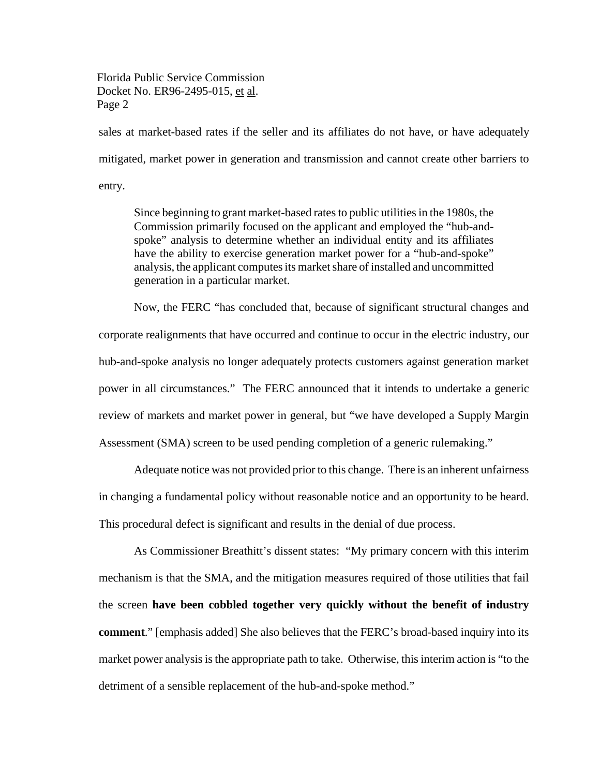sales at market-based rates if the seller and its affiliates do not have, or have adequately mitigated, market power in generation and transmission and cannot create other barriers to entry.

Since beginning to grant market-based rates to public utilities in the 1980s, the Commission primarily focused on the applicant and employed the "hub-andspoke" analysis to determine whether an individual entity and its affiliates have the ability to exercise generation market power for a "hub-and-spoke" analysis, the applicant computes its market share of installed and uncommitted generation in a particular market.

Now, the FERC "has concluded that, because of significant structural changes and corporate realignments that have occurred and continue to occur in the electric industry, our hub-and-spoke analysis no longer adequately protects customers against generation market power in all circumstances." The FERC announced that it intends to undertake a generic review of markets and market power in general, but "we have developed a Supply Margin Assessment (SMA) screen to be used pending completion of a generic rulemaking."

Adequate notice was not provided prior to this change. There is an inherent unfairness in changing a fundamental policy without reasonable notice and an opportunity to be heard. This procedural defect is significant and results in the denial of due process.

As Commissioner Breathitt's dissent states: "My primary concern with this interim mechanism is that the SMA, and the mitigation measures required of those utilities that fail the screen **have been cobbled together very quickly without the benefit of industry comment**." [emphasis added] She also believes that the FERC's broad-based inquiry into its market power analysis is the appropriate path to take. Otherwise, this interim action is "to the detriment of a sensible replacement of the hub-and-spoke method."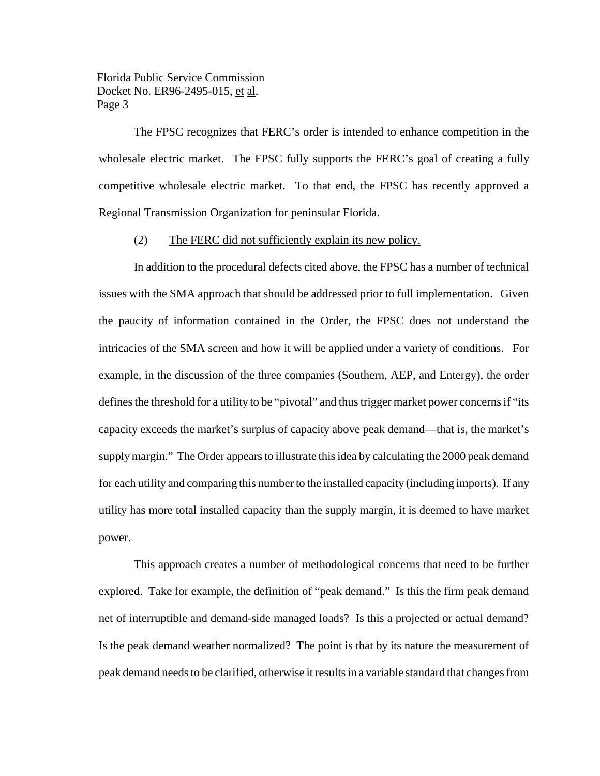The FPSC recognizes that FERC's order is intended to enhance competition in the wholesale electric market. The FPSC fully supports the FERC's goal of creating a fully competitive wholesale electric market. To that end, the FPSC has recently approved a Regional Transmission Organization for peninsular Florida.

#### (2) The FERC did not sufficiently explain its new policy.

In addition to the procedural defects cited above, the FPSC has a number of technical issues with the SMA approach that should be addressed prior to full implementation. Given the paucity of information contained in the Order, the FPSC does not understand the intricacies of the SMA screen and how it will be applied under a variety of conditions. For example, in the discussion of the three companies (Southern, AEP, and Entergy), the order defines the threshold for a utility to be "pivotal" and thus trigger market power concerns if "its capacity exceeds the market's surplus of capacity above peak demand—that is, the market's supplymargin." The Order appears to illustrate this idea by calculating the 2000 peak demand for each utility and comparing this number to the installed capacity (including imports). If any utility has more total installed capacity than the supply margin, it is deemed to have market power.

This approach creates a number of methodological concerns that need to be further explored. Take for example, the definition of "peak demand." Is this the firm peak demand net of interruptible and demand-side managed loads? Is this a projected or actual demand? Is the peak demand weather normalized? The point is that by its nature the measurement of peak demand needsto be clarified, otherwise it resultsin a variable standard that changesfrom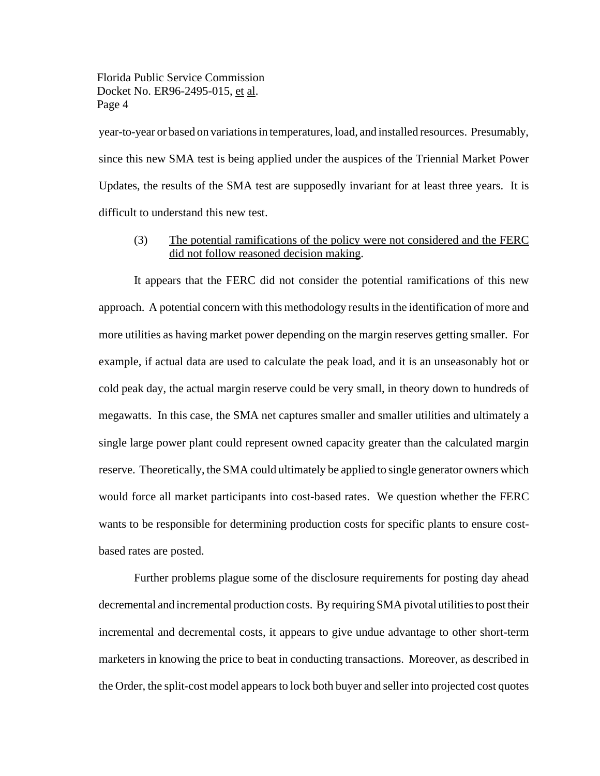year-to-year or based on variationsin temperatures, load, and installed resources. Presumably, since this new SMA test is being applied under the auspices of the Triennial Market Power Updates, the results of the SMA test are supposedly invariant for at least three years. It is difficult to understand this new test.

# (3) The potential ramifications of the policy were not considered and the FERC did not follow reasoned decision making.

It appears that the FERC did not consider the potential ramifications of this new approach. A potential concern with this methodology results in the identification of more and more utilities as having market power depending on the margin reserves getting smaller. For example, if actual data are used to calculate the peak load, and it is an unseasonably hot or cold peak day, the actual margin reserve could be very small, in theory down to hundreds of megawatts. In this case, the SMA net captures smaller and smaller utilities and ultimately a single large power plant could represent owned capacity greater than the calculated margin reserve. Theoretically, the SMA could ultimately be applied to single generator owners which would force all market participants into cost-based rates. We question whether the FERC wants to be responsible for determining production costs for specific plants to ensure costbased rates are posted.

Further problems plague some of the disclosure requirements for posting day ahead decremental and incremental production costs. By requiring SMA pivotal utilities to post their incremental and decremental costs, it appears to give undue advantage to other short-term marketers in knowing the price to beat in conducting transactions. Moreover, as described in the Order, the split-cost model appears to lock both buyer and seller into projected cost quotes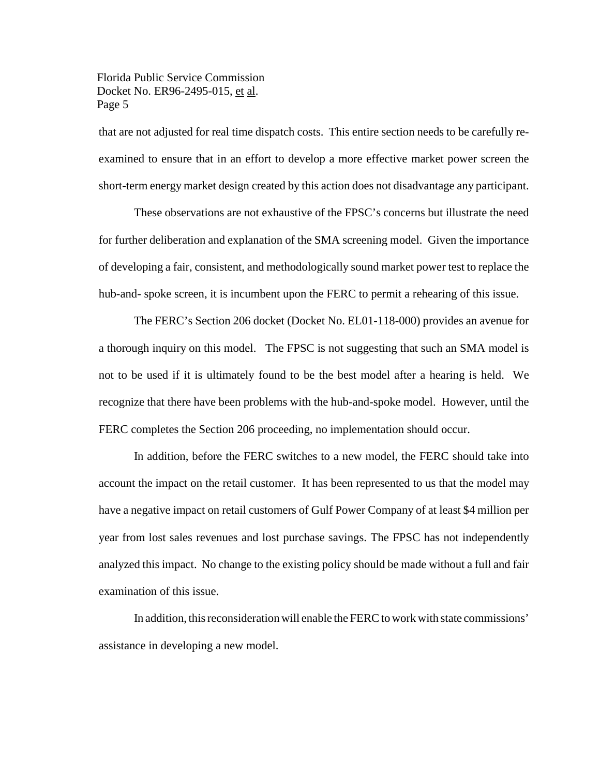that are not adjusted for real time dispatch costs. This entire section needs to be carefully reexamined to ensure that in an effort to develop a more effective market power screen the short-term energy market design created by this action does not disadvantage any participant.

These observations are not exhaustive of the FPSC's concerns but illustrate the need for further deliberation and explanation of the SMA screening model. Given the importance of developing a fair, consistent, and methodologically sound market power test to replace the hub-and- spoke screen, it is incumbent upon the FERC to permit a rehearing of this issue.

The FERC's Section 206 docket (Docket No. EL01-118-000) provides an avenue for a thorough inquiry on this model. The FPSC is not suggesting that such an SMA model is not to be used if it is ultimately found to be the best model after a hearing is held. We recognize that there have been problems with the hub-and-spoke model. However, until the FERC completes the Section 206 proceeding, no implementation should occur.

In addition, before the FERC switches to a new model, the FERC should take into account the impact on the retail customer. It has been represented to us that the model may have a negative impact on retail customers of Gulf Power Company of at least \$4 million per year from lost sales revenues and lost purchase savings. The FPSC has not independently analyzed this impact. No change to the existing policy should be made without a full and fair examination of this issue.

In addition, this reconsideration will enable the FERC to work with state commissions' assistance in developing a new model.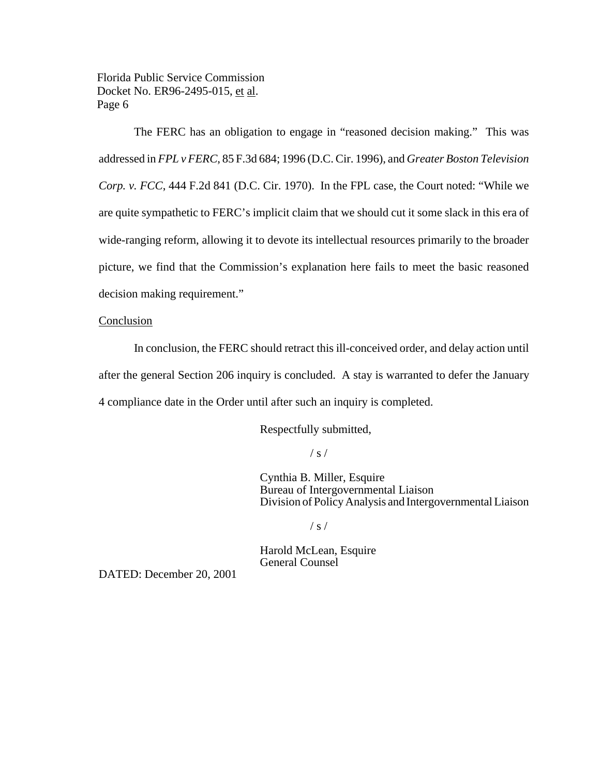The FERC has an obligation to engage in "reasoned decision making." This was addressed in *FPL v FERC*, 85 F.3d 684; 1996 (D.C. Cir. 1996), and *Greater Boston Television Corp. v. FCC*, 444 F.2d 841 (D.C. Cir. 1970). In the FPL case, the Court noted: "While we are quite sympathetic to FERC's implicit claim that we should cut it some slack in this era of wide-ranging reform, allowing it to devote its intellectual resources primarily to the broader picture, we find that the Commission's explanation here fails to meet the basic reasoned decision making requirement."

#### Conclusion

In conclusion, the FERC should retract this ill-conceived order, and delay action until after the general Section 206 inquiry is concluded. A stay is warranted to defer the January 4 compliance date in the Order until after such an inquiry is completed.

Respectfully submitted,

 $/ s /$ 

Cynthia B. Miller, Esquire Bureau of Intergovernmental Liaison Division of Policy Analysis and Intergovernmental Liaison

 $/ s /$ 

Harold McLean, Esquire General Counsel

DATED: December 20, 2001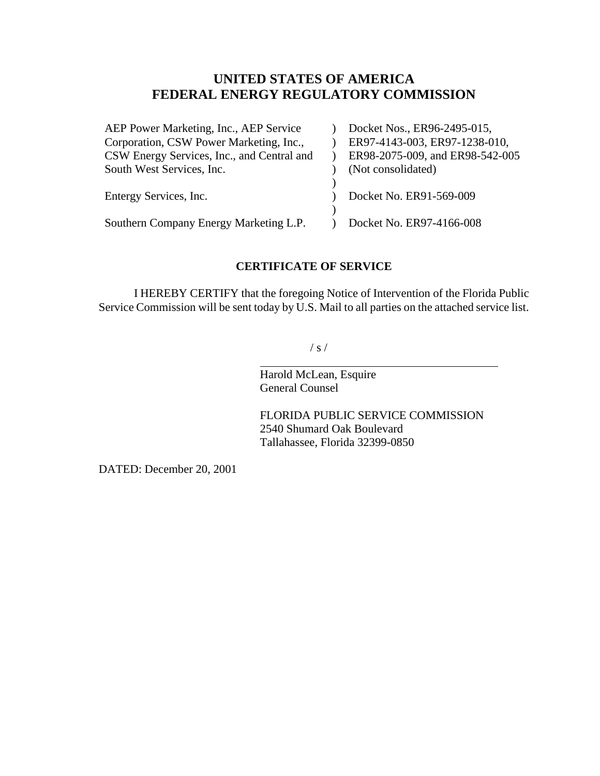# **UNITED STATES OF AMERICA FEDERAL ENERGY REGULATORY COMMISSION**

| Docket Nos., ER96-2495-015,     |
|---------------------------------|
| ER97-4143-003, ER97-1238-010,   |
| ER98-2075-009, and ER98-542-005 |
| (Not consolidated)              |
|                                 |
| Docket No. ER91-569-009         |
|                                 |
| Docket No. ER97-4166-008        |
|                                 |

# **CERTIFICATE OF SERVICE**

I HEREBY CERTIFY that the foregoing Notice of Intervention of the Florida Public Service Commission will be sent today by U.S. Mail to all parties on the attached service list.

 $/ s /$ 

Harold McLean, Esquire General Counsel

 $\overline{a}$ 

FLORIDA PUBLIC SERVICE COMMISSION 2540 Shumard Oak Boulevard Tallahassee, Florida 32399-0850

DATED: December 20, 2001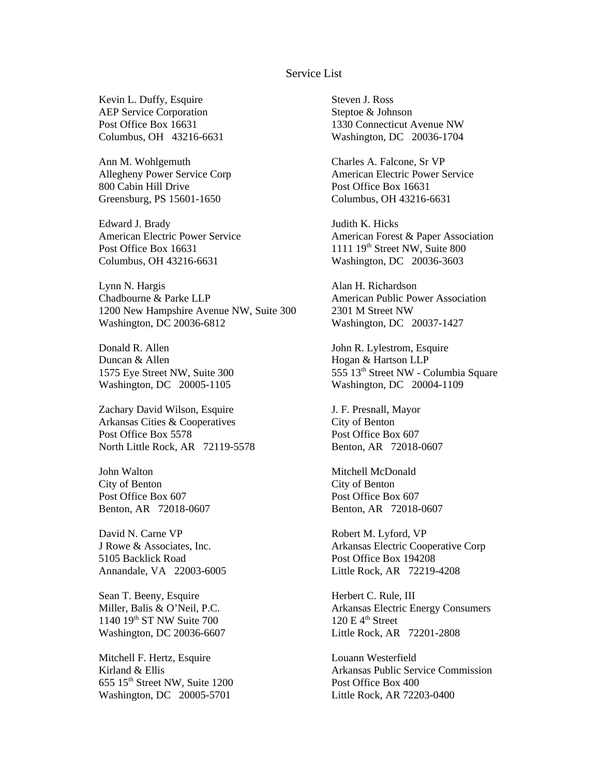#### Service List

Kevin L. Duffy, Esquire AEP Service Corporation Post Office Box 16631 Columbus, OH 43216-6631

Ann M. Wohlgemuth Allegheny Power Service Corp 800 Cabin Hill Drive Greensburg, PS 15601-1650

Edward J. Brady American Electric Power Service Post Office Box 16631 Columbus, OH 43216-6631

Lynn N. Hargis Chadbourne & Parke LLP 1200 New Hampshire Avenue NW, Suite 300 Washington, DC 20036-6812

Donald R. Allen Duncan & Allen 1575 Eye Street NW, Suite 300 Washington, DC 20005-1105

Zachary David Wilson, Esquire Arkansas Cities & Cooperatives Post Office Box 5578 North Little Rock, AR 72119-5578

John Walton City of Benton Post Office Box 607 Benton, AR 72018-0607

David N. Carne VP J Rowe & Associates, Inc. 5105 Backlick Road Annandale, VA 22003-6005

Sean T. Beeny, Esquire Miller, Balis & O'Neil, P.C. 1140 19<sup>th</sup> ST NW Suite 700 Washington, DC 20036-6607

Mitchell F. Hertz, Esquire Kirland & Ellis  $655$   $15<sup>th</sup>$  Street NW, Suite 1200 Washington, DC 20005-5701

Steven J. Ross Steptoe & Johnson 1330 Connecticut Avenue NW Washington, DC 20036-1704

Charles A. Falcone, Sr VP American Electric Power Service Post Office Box 16631 Columbus, OH 43216-6631

Judith K. Hicks American Forest & Paper Association 1111  $19<sup>th</sup>$  Street NW, Suite 800 Washington, DC 20036-3603

Alan H. Richardson American Public Power Association 2301 M Street NW Washington, DC 20037-1427

John R. Lylestrom, Esquire Hogan & Hartson LLP 555 13th Street NW - Columbia Square Washington, DC 20004-1109

J. F. Presnall, Mayor City of Benton Post Office Box 607 Benton, AR 72018-0607

Mitchell McDonald City of Benton Post Office Box 607 Benton, AR 72018-0607

Robert M. Lyford, VP Arkansas Electric Cooperative Corp Post Office Box 194208 Little Rock, AR 72219-4208

Herbert C. Rule, III Arkansas Electric Energy Consumers  $120 \text{ E } 4^{\text{th}}$  Street Little Rock, AR 72201-2808

Louann Westerfield Arkansas Public Service Commission Post Office Box 400 Little Rock, AR 72203-0400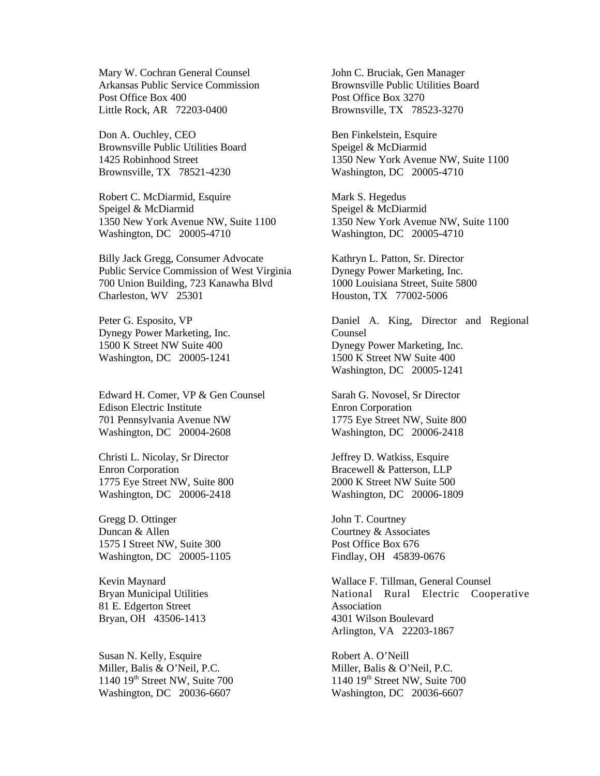Mary W. Cochran General Counsel Arkansas Public Service Commission Post Office Box 400 Little Rock, AR 72203-0400

Don A. Ouchley, CEO Brownsville Public Utilities Board 1425 Robinhood Street Brownsville, TX 78521-4230

Robert C. McDiarmid, Esquire Speigel & McDiarmid 1350 New York Avenue NW, Suite 1100 Washington, DC 20005-4710

Billy Jack Gregg, Consumer Advocate Public Service Commission of West Virginia 700 Union Building, 723 Kanawha Blvd Charleston, WV 25301

Peter G. Esposito, VP Dynegy Power Marketing, Inc. 1500 K Street NW Suite 400 Washington, DC 20005-1241

Edward H. Comer, VP & Gen Counsel Edison Electric Institute 701 Pennsylvania Avenue NW Washington, DC 20004-2608

Christi L. Nicolay, Sr Director Enron Corporation 1775 Eye Street NW, Suite 800 Washington, DC 20006-2418

Gregg D. Ottinger Duncan & Allen 1575 I Street NW, Suite 300 Washington, DC 20005-1105

Kevin Maynard Bryan Municipal Utilities 81 E. Edgerton Street Bryan, OH 43506-1413

Susan N. Kelly, Esquire Miller, Balis & O'Neil, P.C. 1140 19th Street NW, Suite 700 Washington, DC 20036-6607

John C. Bruciak, Gen Manager Brownsville Public Utilities Board Post Office Box 3270 Brownsville, TX 78523-3270

Ben Finkelstein, Esquire Speigel & McDiarmid 1350 New York Avenue NW, Suite 1100 Washington, DC 20005-4710

Mark S. Hegedus Speigel & McDiarmid 1350 New York Avenue NW, Suite 1100 Washington, DC 20005-4710

Kathryn L. Patton, Sr. Director Dynegy Power Marketing, Inc. 1000 Louisiana Street, Suite 5800 Houston, TX 77002-5006

Daniel A. King, Director and Regional Counsel Dynegy Power Marketing, Inc. 1500 K Street NW Suite 400 Washington, DC 20005-1241

Sarah G. Novosel, Sr Director Enron Corporation 1775 Eye Street NW, Suite 800 Washington, DC 20006-2418

Jeffrey D. Watkiss, Esquire Bracewell & Patterson, LLP 2000 K Street NW Suite 500 Washington, DC 20006-1809

John T. Courtney Courtney & Associates Post Office Box 676 Findlay, OH 45839-0676

Wallace F. Tillman, General Counsel National Rural Electric Cooperative Association 4301 Wilson Boulevard Arlington, VA 22203-1867

Robert A. O'Neill Miller, Balis & O'Neil, P.C. 1140 19th Street NW, Suite 700 Washington, DC 20036-6607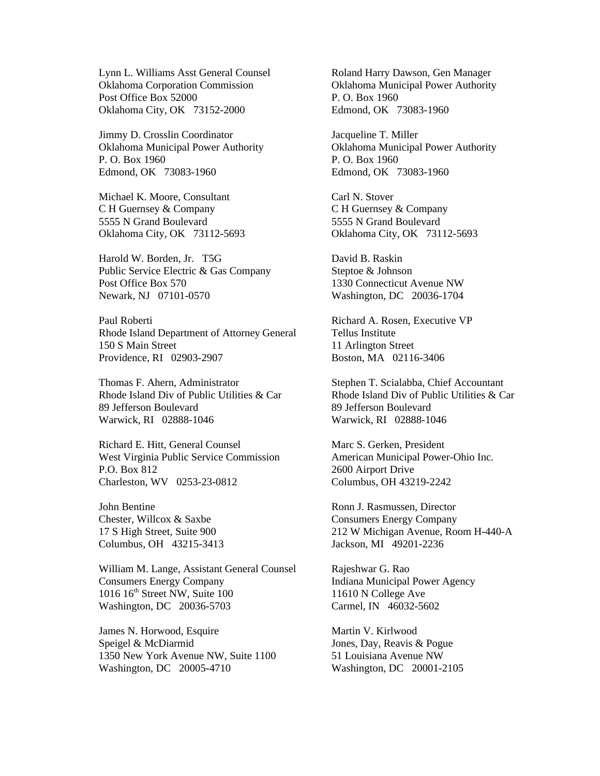Lynn L. Williams Asst General Counsel Oklahoma Corporation Commission Post Office Box 52000 Oklahoma City, OK 73152-2000

Jimmy D. Crosslin Coordinator Oklahoma Municipal Power Authority P. O. Box 1960 Edmond, OK 73083-1960

Michael K. Moore, Consultant C H Guernsey & Company 5555 N Grand Boulevard Oklahoma City, OK 73112-5693

Harold W. Borden, Jr. T5G Public Service Electric & Gas Company Post Office Box 570 Newark, NJ 07101-0570

Paul Roberti Rhode Island Department of Attorney General 150 S Main Street Providence, RI 02903-2907

Thomas F. Ahern, Administrator Rhode Island Div of Public Utilities & Car 89 Jefferson Boulevard Warwick, RI 02888-1046

Richard E. Hitt, General Counsel West Virginia Public Service Commission P.O. Box 812 Charleston, WV 0253-23-0812

John Bentine Chester, Willcox & Saxbe 17 S High Street, Suite 900 Columbus, OH 43215-3413

William M. Lange, Assistant General Counsel Consumers Energy Company  $1016$   $16<sup>th</sup>$  Street NW, Suite  $100$ Washington, DC 20036-5703

James N. Horwood, Esquire Speigel & McDiarmid 1350 New York Avenue NW, Suite 1100 Washington, DC 20005-4710

Roland Harry Dawson, Gen Manager Oklahoma Municipal Power Authority P. O. Box 1960 Edmond, OK 73083-1960

Jacqueline T. Miller Oklahoma Municipal Power Authority P. O. Box 1960 Edmond, OK 73083-1960

Carl N. Stover C H Guernsey & Company 5555 N Grand Boulevard Oklahoma City, OK 73112-5693

David B. Raskin Steptoe & Johnson 1330 Connecticut Avenue NW Washington, DC 20036-1704

Richard A. Rosen, Executive VP Tellus Institute 11 Arlington Street Boston, MA 02116-3406

Stephen T. Scialabba, Chief Accountant Rhode Island Div of Public Utilities & Car 89 Jefferson Boulevard Warwick, RI 02888-1046

Marc S. Gerken, President American Municipal Power-Ohio Inc. 2600 Airport Drive Columbus, OH 43219-2242

Ronn J. Rasmussen, Director Consumers Energy Company 212 W Michigan Avenue, Room H-440-A Jackson, MI 49201-2236

Rajeshwar G. Rao Indiana Municipal Power Agency 11610 N College Ave Carmel, IN 46032-5602

Martin V. Kirlwood Jones, Day, Reavis & Pogue 51 Louisiana Avenue NW Washington, DC 20001-2105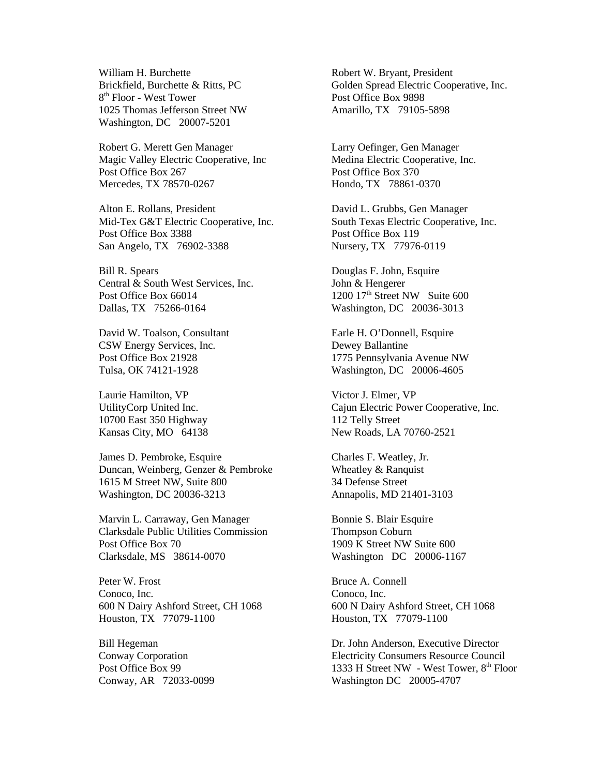William H. Burchette Brickfield, Burchette & Ritts, PC 8 th Floor - West Tower 1025 Thomas Jefferson Street NW Washington, DC 20007-5201

Robert G. Merett Gen Manager Magic Valley Electric Cooperative, Inc Post Office Box 267 Mercedes, TX 78570-0267

Alton E. Rollans, President Mid-Tex G&T Electric Cooperative, Inc. Post Office Box 3388 San Angelo, TX 76902-3388

Bill R. Spears Central & South West Services, Inc. Post Office Box 66014 Dallas, TX 75266-0164

David W. Toalson, Consultant CSW Energy Services, Inc. Post Office Box 21928 Tulsa, OK 74121-1928

Laurie Hamilton, VP UtilityCorp United Inc. 10700 East 350 Highway Kansas City, MO 64138

James D. Pembroke, Esquire Duncan, Weinberg, Genzer & Pembroke 1615 M Street NW, Suite 800 Washington, DC 20036-3213

Marvin L. Carraway, Gen Manager Clarksdale Public Utilities Commission Post Office Box 70 Clarksdale, MS 38614-0070

Peter W. Frost Conoco, Inc. 600 N Dairy Ashford Street, CH 1068 Houston, TX 77079-1100

Bill Hegeman Conway Corporation Post Office Box 99 Conway, AR 72033-0099 Robert W. Bryant, President Golden Spread Electric Cooperative, Inc. Post Office Box 9898 Amarillo, TX 79105-5898

Larry Oefinger, Gen Manager Medina Electric Cooperative, Inc. Post Office Box 370 Hondo, TX 78861-0370

David L. Grubbs, Gen Manager South Texas Electric Cooperative, Inc. Post Office Box 119 Nursery, TX 77976-0119

Douglas F. John, Esquire John & Hengerer 1200 17<sup>th</sup> Street NW Suite 600 Washington, DC 20036-3013

Earle H. O'Donnell, Esquire Dewey Ballantine 1775 Pennsylvania Avenue NW Washington, DC 20006-4605

Victor J. Elmer, VP Cajun Electric Power Cooperative, Inc. 112 Telly Street New Roads, LA 70760-2521

Charles F. Weatley, Jr. Wheatley & Ranquist 34 Defense Street Annapolis, MD 21401-3103

Bonnie S. Blair Esquire Thompson Coburn 1909 K Street NW Suite 600 Washington DC 20006-1167

Bruce A. Connell Conoco, Inc. 600 N Dairy Ashford Street, CH 1068 Houston, TX 77079-1100

Dr. John Anderson, Executive Director Electricity Consumers Resource Council 1333 H Street NW - West Tower,  $8<sup>th</sup>$  Floor Washington DC 20005-4707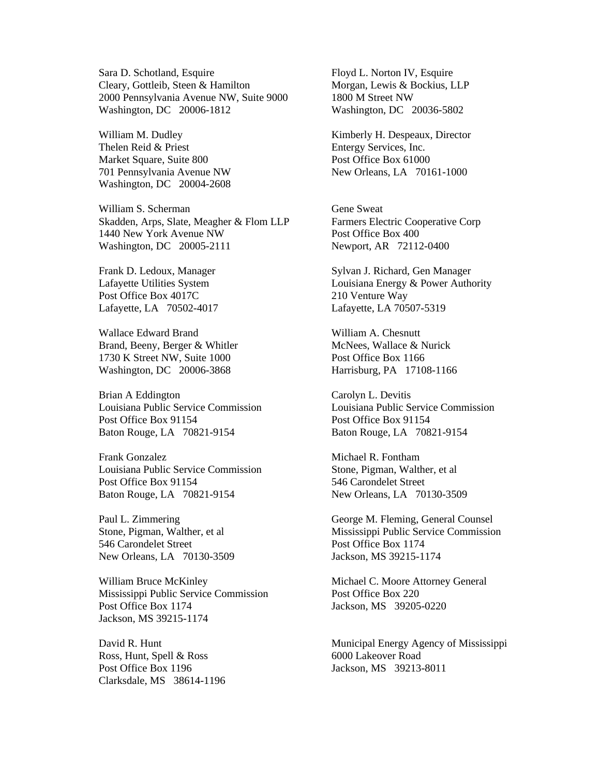Sara D. Schotland, Esquire Cleary, Gottleib, Steen & Hamilton 2000 Pennsylvania Avenue NW, Suite 9000 Washington, DC 20006-1812

William M. Dudley Thelen Reid & Priest Market Square, Suite 800 701 Pennsylvania Avenue NW Washington, DC 20004-2608

William S. Scherman Skadden, Arps, Slate, Meagher & Flom LLP 1440 New York Avenue NW Washington, DC 20005-2111

Frank D. Ledoux, Manager Lafayette Utilities System Post Office Box 4017C Lafayette, LA 70502-4017

Wallace Edward Brand Brand, Beeny, Berger & Whitler 1730 K Street NW, Suite 1000 Washington, DC 20006-3868

Brian A Eddington Louisiana Public Service Commission Post Office Box 91154 Baton Rouge, LA 70821-9154

Frank Gonzalez Louisiana Public Service Commission Post Office Box 91154 Baton Rouge, LA 70821-9154

Paul L. Zimmering Stone, Pigman, Walther, et al 546 Carondelet Street New Orleans, LA 70130-3509

William Bruce McKinley Mississippi Public Service Commission Post Office Box 1174 Jackson, MS 39215-1174

David R. Hunt Ross, Hunt, Spell & Ross Post Office Box 1196 Clarksdale, MS 38614-1196 Floyd L. Norton IV, Esquire Morgan, Lewis & Bockius, LLP 1800 M Street NW Washington, DC 20036-5802

Kimberly H. Despeaux, Director Entergy Services, Inc. Post Office Box 61000 New Orleans, LA 70161-1000

Gene Sweat Farmers Electric Cooperative Corp Post Office Box 400 Newport, AR 72112-0400

Sylvan J. Richard, Gen Manager Louisiana Energy & Power Authority 210 Venture Way Lafayette, LA 70507-5319

William A. Chesnutt McNees, Wallace & Nurick Post Office Box 1166 Harrisburg, PA 17108-1166

Carolyn L. Devitis Louisiana Public Service Commission Post Office Box 91154 Baton Rouge, LA 70821-9154

Michael R. Fontham Stone, Pigman, Walther, et al 546 Carondelet Street New Orleans, LA 70130-3509

George M. Fleming, General Counsel Mississippi Public Service Commission Post Office Box 1174 Jackson, MS 39215-1174

Michael C. Moore Attorney General Post Office Box 220 Jackson, MS 39205-0220

Municipal Energy Agency of Mississippi 6000 Lakeover Road Jackson, MS 39213-8011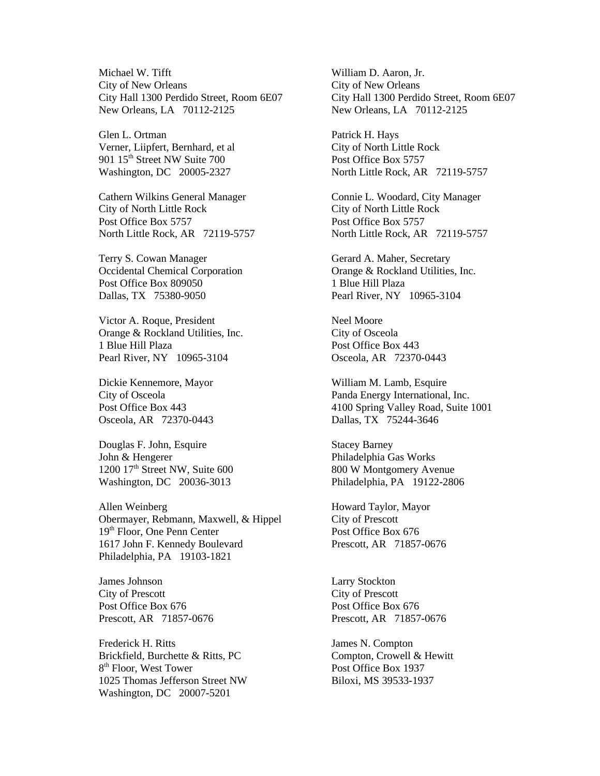Michael W. Tifft City of New Orleans City Hall 1300 Perdido Street, Room 6E07 New Orleans, LA 70112-2125

Glen L. Ortman Verner, Liipfert, Bernhard, et al 901 15<sup>th</sup> Street NW Suite 700 Washington, DC 20005-2327

Cathern Wilkins General Manager City of North Little Rock Post Office Box 5757 North Little Rock, AR 72119-5757

Terry S. Cowan Manager Occidental Chemical Corporation Post Office Box 809050 Dallas, TX 75380-9050

Victor A. Roque, President Orange & Rockland Utilities, Inc. 1 Blue Hill Plaza Pearl River, NY 10965-3104

Dickie Kennemore, Mayor City of Osceola Post Office Box 443 Osceola, AR 72370-0443

Douglas F. John, Esquire John & Hengerer  $1200$   $17<sup>th</sup>$  Street NW, Suite 600 Washington, DC 20036-3013

Allen Weinberg Obermayer, Rebmann, Maxwell, & Hippel 19th Floor, One Penn Center 1617 John F. Kennedy Boulevard Philadelphia, PA 19103-1821

James Johnson City of Prescott Post Office Box 676 Prescott, AR 71857-0676

Frederick H. Ritts Brickfield, Burchette & Ritts, PC 8<sup>th</sup> Floor, West Tower 1025 Thomas Jefferson Street NW Washington, DC 20007-5201

William D. Aaron, Jr. City of New Orleans City Hall 1300 Perdido Street, Room 6E07 New Orleans, LA 70112-2125

Patrick H. Hays City of North Little Rock Post Office Box 5757 North Little Rock, AR 72119-5757

Connie L. Woodard, City Manager City of North Little Rock Post Office Box 5757 North Little Rock, AR 72119-5757

Gerard A. Maher, Secretary Orange & Rockland Utilities, Inc. 1 Blue Hill Plaza Pearl River, NY 10965-3104

Neel Moore City of Osceola Post Office Box 443 Osceola, AR 72370-0443

William M. Lamb, Esquire Panda Energy International, Inc. 4100 Spring Valley Road, Suite 1001 Dallas, TX 75244-3646

Stacey Barney Philadelphia Gas Works 800 W Montgomery Avenue Philadelphia, PA 19122-2806

Howard Taylor, Mayor City of Prescott Post Office Box 676 Prescott, AR 71857-0676

Larry Stockton City of Prescott Post Office Box 676 Prescott, AR 71857-0676

James N. Compton Compton, Crowell & Hewitt Post Office Box 1937 Biloxi, MS 39533-1937